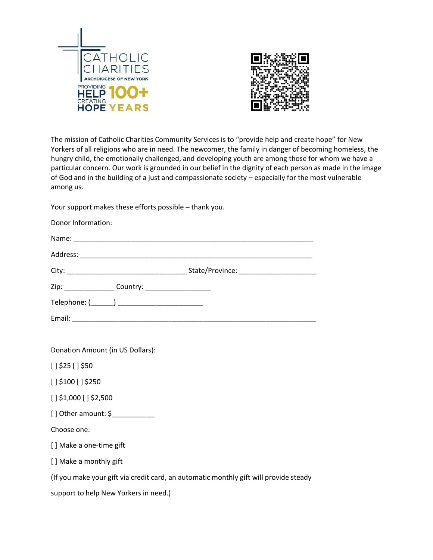



The mission of Catholic Charities Community Services is to "provide help and create hope" for New Yorkers of all religions who are in need. The newcomer, the family in danger of becoming homeless, the hungry child, the emotionally challenged, and developing youth are among those for whom we have a particular concern. Our work is grounded in our belief in the dignity of each person as made in the image of God and in the building of a just and compassionate society – especially for the most vulnerable among us.

Your support makes these efforts possible – thank you.

| Donor Information:                               |  |
|--------------------------------------------------|--|
|                                                  |  |
|                                                  |  |
|                                                  |  |
|                                                  |  |
| Telephone: (_______) ___________________________ |  |
|                                                  |  |

Donation Amount (in US Dollars):

 $[ ]$  \$25 [] \$50

[ ] \$100 [ ] \$250

[ ] \$1,000 [ ] \$2,500

[ ] Other amount: \$\_\_\_\_\_\_\_\_\_\_\_

Choose one:

[ ] Make a one-time gift

[ ] Make a monthly gift

(If you make your gift via credit card, an automatic monthly gift will provide steady

support to help New Yorkers in need.)